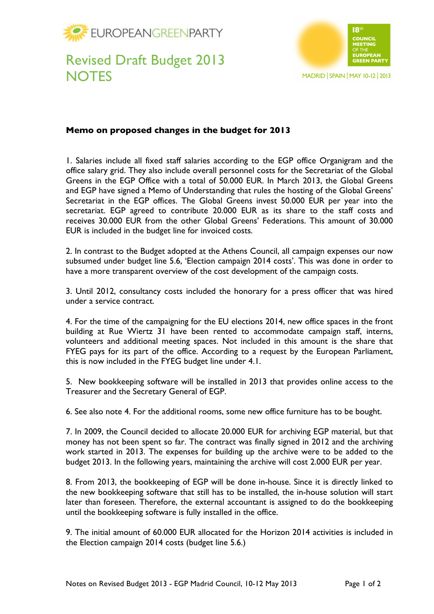



## Revised Draft Budget 2013 **NOTES**

## **Memo on proposed changes in the budget for 2013**

1. Salaries include all fixed staff salaries according to the EGP office Organigram and the office salary grid. They also include overall personnel costs for the Secretariat of the Global Greens in the EGP Office with a total of 50.000 EUR. In March 2013, the Global Greens and EGP have signed a Memo of Understanding that rules the hosting of the Global Greens' Secretariat in the EGP offices. The Global Greens invest 50.000 EUR per year into the secretariat. EGP agreed to contribute 20.000 EUR as its share to the staff costs and receives 30.000 EUR from the other Global Greens' Federations. This amount of 30.000 EUR is included in the budget line for invoiced costs.

2. In contrast to the Budget adopted at the Athens Council, all campaign expenses our now subsumed under budget line 5.6, 'Election campaign 2014 costs'. This was done in order to have a more transparent overview of the cost development of the campaign costs.

3. Until 2012, consultancy costs included the honorary for a press officer that was hired under a service contract.

4. For the time of the campaigning for the EU elections 2014, new office spaces in the front building at Rue Wiertz 31 have been rented to accommodate campaign staff, interns, volunteers and additional meeting spaces. Not included in this amount is the share that FYEG pays for its part of the office. According to a request by the European Parliament, this is now included in the FYEG budget line under 4.1.

5. New bookkeeping software will be installed in 2013 that provides online access to the Treasurer and the Secretary General of EGP.

6. See also note 4. For the additional rooms, some new office furniture has to be bought.

7. In 2009, the Council decided to allocate 20.000 EUR for archiving EGP material, but that money has not been spent so far. The contract was finally signed in 2012 and the archiving work started in 2013. The expenses for building up the archive were to be added to the budget 2013. In the following years, maintaining the archive will cost 2.000 EUR per year.

8. From 2013, the bookkeeping of EGP will be done in-house. Since it is directly linked to the new bookkeeping software that still has to be installed, the in-house solution will start later than foreseen. Therefore, the external accountant is assigned to do the bookkeeping until the bookkeeping software is fully installed in the office.

9. The initial amount of 60.000 EUR allocated for the Horizon 2014 activities is included in the Election campaign 2014 costs (budget line 5.6.)